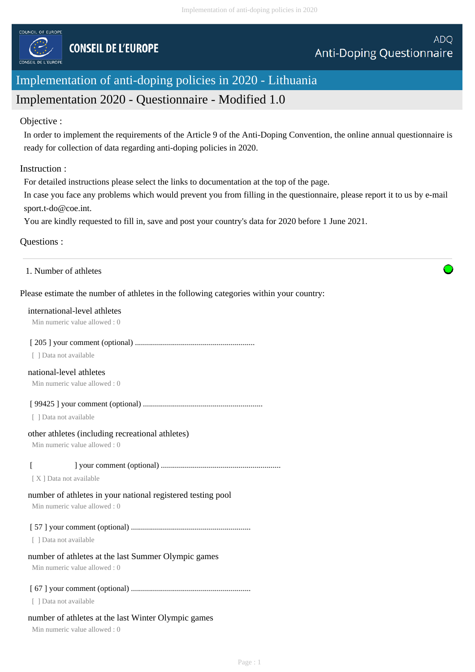

# Implementation of anti-doping policies in 2020 - Lithuania

# Implementation 2020 - Questionnaire - Modified 1.0

# Objective :

In order to implement the requirements of the Article 9 of the Anti-Doping Convention, the online annual questionnaire is ready for collection of data regarding anti-doping policies in 2020.

# Instruction :

For detailed instructions please select the links to documentation at the top of the page.

In case you face any problems which would prevent you from filling in the questionnaire, please report it to us by e-mail sport.t-do@coe.int.

You are kindly requested to fill in, save and post your country's data for 2020 before 1 June 2021.

# Questions :

# 1. Number of athletes

# Please estimate the number of athletes in the following categories within your country:

#### international-level athletes

Min numeric value allowed : 0

# [ 205 ] your comment (optional) ............................................................

[ ] Data not available

# national-level athletes

Min numeric value allowed : 0

# [ 99425 ] your comment (optional) ............................................................

[ ] Data not available

# other athletes (including recreational athletes)

Min numeric value allowed : 0

# [ ] your comment (optional) ............................................................

[ X ] Data not available

# number of athletes in your national registered testing pool

Min numeric value allowed : 0

# [ 57 ] your comment (optional) ............................................................

[ ] Data not available

# number of athletes at the last Summer Olympic games

Min numeric value allowed : 0

# [ 67 ] your comment (optional) ............................................................

[ ] Data not available

# number of athletes at the last Winter Olympic games

Min numeric value allowed : 0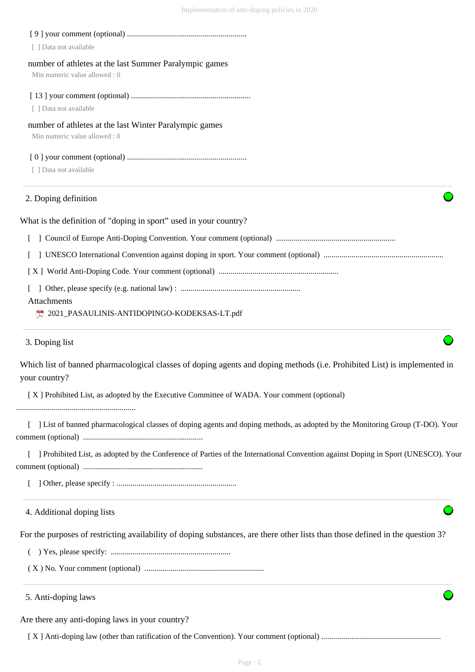| [ ] Data not available                                                                                                                     |
|--------------------------------------------------------------------------------------------------------------------------------------------|
| number of athletes at the last Summer Paralympic games<br>Min numeric value allowed: 0                                                     |
|                                                                                                                                            |
| [ ] Data not available                                                                                                                     |
| number of athletes at the last Winter Paralympic games<br>Min numeric value allowed: 0                                                     |
|                                                                                                                                            |
| [ ] Data not available                                                                                                                     |
| 2. Doping definition                                                                                                                       |
| What is the definition of "doping in sport" used in your country?                                                                          |
|                                                                                                                                            |
|                                                                                                                                            |
|                                                                                                                                            |
|                                                                                                                                            |
| Attachments<br>2021_PASAULINIS-ANTIDOPINGO-KODEKSAS-LT.pdf                                                                                 |
| 3. Doping list                                                                                                                             |
| Which list of banned pharmacological classes of doping agents and doping methods (i.e. Prohibited List) is implemented in<br>your country? |
| [X] Prohibited List, as adopted by the Executive Committee of WADA. Your comment (optional)                                                |
| [ ] List of banned pharmacological classes of doping agents and doping methods, as adopted by the Monitoring Group (T-DO). Your            |
| [ ] Prohibited List, as adopted by the Conference of Parties of the International Convention against Doping in Sport (UNESCO). Your        |
|                                                                                                                                            |
| 4. Additional doping lists                                                                                                                 |
| For the purposes of restricting availability of doping substances, are there other lists than those defined in the question 3?             |
|                                                                                                                                            |
|                                                                                                                                            |
| 5. Anti-doping laws                                                                                                                        |
| Are there any anti-doping laws in your country?                                                                                            |
|                                                                                                                                            |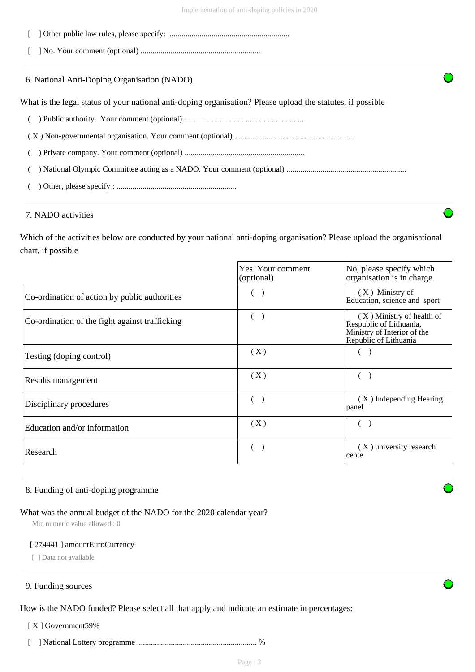- [ ] Other public law rules, please specify: ............................................................
- [ ] No. Your comment (optional) ............................................................
- 6. National Anti-Doping Organisation (NADO)

What is the legal status of your national anti-doping organisation? Please upload the statutes, if possible

- ( ) Public authority. Your comment (optional) ............................................................
- ( X ) Non-governmental organisation. Your comment (optional) ............................................................
- ( ) Private company. Your comment (optional) ............................................................
- ( ) National Olympic Committee acting as a NADO. Your comment (optional) ............................................................
- ( ) Other, please specify : ............................................................

#### 7. NADO activities

Which of the activities below are conducted by your national anti-doping organisation? Please upload the organisational chart, if possible

|                                                | Yes. Your comment<br>(optional) | No, please specify which<br>organisation is in charge                                                          |
|------------------------------------------------|---------------------------------|----------------------------------------------------------------------------------------------------------------|
| Co-ordination of action by public authorities  |                                 | $(X)$ Ministry of<br>Education, science and sport                                                              |
| Co-ordination of the fight against trafficking |                                 | $(X)$ Ministry of health of<br>Respublic of Lithuania,<br>Ministry of Interior of the<br>Republic of Lithuania |
| Testing (doping control)                       | (X)                             |                                                                                                                |
| Results management                             | (X)                             |                                                                                                                |
| Disciplinary procedures                        |                                 | (X) Independing Hearing<br>panel                                                                               |
| Education and/or information                   | (X)                             |                                                                                                                |
| Research                                       |                                 | (X) university research<br>cente                                                                               |

#### 8. Funding of anti-doping programme

#### What was the annual budget of the NADO for the 2020 calendar year?

Min numeric value allowed : 0

#### [ 274441 ] amountEuroCurrency

[ ] Data not available

#### 9. Funding sources

How is the NADO funded? Please select all that apply and indicate an estimate in percentages:

#### [X] Government59%

[ ] National Lottery programme ............................................................ %

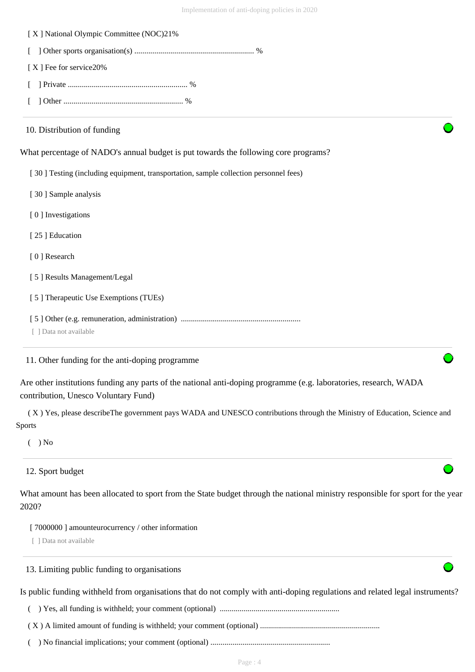| [X] National Olympic Committee (NOC)21%                                                                                                                   |
|-----------------------------------------------------------------------------------------------------------------------------------------------------------|
|                                                                                                                                                           |
| [X] Fee for service20%                                                                                                                                    |
|                                                                                                                                                           |
|                                                                                                                                                           |
| 10. Distribution of funding                                                                                                                               |
| What percentage of NADO's annual budget is put towards the following core programs?                                                                       |
| [30] Testing (including equipment, transportation, sample collection personnel fees)                                                                      |
| [30] Sample analysis                                                                                                                                      |
| [0] Investigations                                                                                                                                        |
| [25] Education                                                                                                                                            |
| [0] Research                                                                                                                                              |
| [5] Results Management/Legal                                                                                                                              |
| [5] Therapeutic Use Exemptions (TUEs)                                                                                                                     |
| [ ] Data not available                                                                                                                                    |
| 11. Other funding for the anti-doping programme                                                                                                           |
| Are other institutions funding any parts of the national anti-doping programme (e.g. laboratories, research, WADA<br>contribution, Unesco Voluntary Fund) |
| (X) Yes, please describeThe government pays WADA and UNESCO contributions through the Ministry of Education, Science and<br><b>Sports</b>                 |
| $( )$ No                                                                                                                                                  |
| 12. Sport budget                                                                                                                                          |
| What amount has been allocated to sport from the State budget through the national ministry responsible for sport for the year<br>2020?                   |
| [7000000] amounteurocurrency / other information<br>[ ] Data not available                                                                                |
| 13. Limiting public funding to organisations                                                                                                              |
| Is public funding withheld from organisations that do not comply with anti-doping regulations and related legal instruments?                              |
|                                                                                                                                                           |
|                                                                                                                                                           |
|                                                                                                                                                           |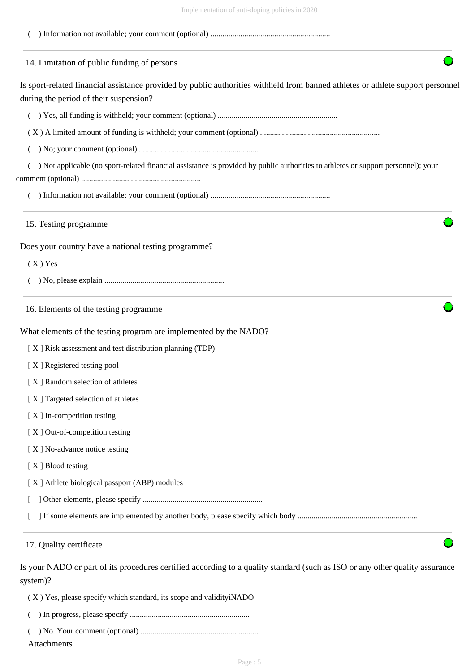| 14. Limitation of public funding of persons                                                                                                                               |
|---------------------------------------------------------------------------------------------------------------------------------------------------------------------------|
| Is sport-related financial assistance provided by public authorities withheld from banned athletes or athlete support personnel<br>during the period of their suspension? |
|                                                                                                                                                                           |
|                                                                                                                                                                           |
|                                                                                                                                                                           |
| Not applicable (no sport-related financial assistance is provided by public authorities to athletes or support personnel); your                                           |
|                                                                                                                                                                           |
|                                                                                                                                                                           |
| 15. Testing programme                                                                                                                                                     |
| Does your country have a national testing programme?                                                                                                                      |
| $(X)$ Yes                                                                                                                                                                 |
|                                                                                                                                                                           |
| 16. Elements of the testing programme                                                                                                                                     |
| What elements of the testing program are implemented by the NADO?                                                                                                         |
| [X] Risk assessment and test distribution planning (TDP)                                                                                                                  |
| [X] Registered testing pool                                                                                                                                               |
| [X] Random selection of athletes                                                                                                                                          |
| [X] Targeted selection of athletes                                                                                                                                        |
| [X] In-competition testing                                                                                                                                                |
| [X] Out-of-competition testing                                                                                                                                            |
| [X] No-advance notice testing                                                                                                                                             |
| [X] Blood testing                                                                                                                                                         |
| [X] Athlete biological passport (ABP) modules                                                                                                                             |
|                                                                                                                                                                           |
|                                                                                                                                                                           |
| 17. Quality certificate                                                                                                                                                   |

Is your NADO or part of its procedures certified according to a quality standard (such as ISO or any other quality assurance system)?

( X ) Yes, please specify which standard, its scope and validityiNADO

- ( ) In progress, please specify ............................................................
- ( ) No. Your comment (optional) ............................................................

Attachments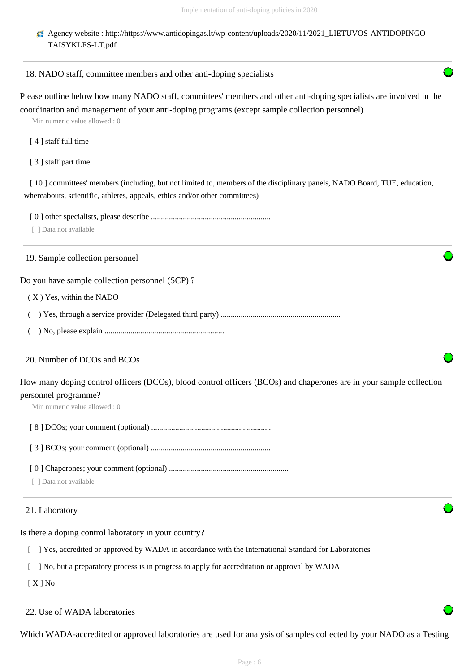Agency website : http://https://www.antidopingas.lt/wp-content/uploads/2020/11/2021\_LIETUVOS-ANTIDOPINGO-TAISYKLES-LT.pdf

#### 18. NADO staff, committee members and other anti-doping specialists

Please outline below how many NADO staff, committees' members and other anti-doping specialists are involved in the coordination and management of your anti-doping programs (except sample collection personnel)

Min numeric value allowed : 0

- [4] staff full time
- [ 3 ] staff part time

[ 10 ] committees' members (including, but not limited to, members of the disciplinary panels, NADO Board, TUE, education, whereabouts, scientific, athletes, appeals, ethics and/or other committees)

[ 0 ] other specialists, please describe ............................................................

[ ] Data not available

19. Sample collection personnel

Do you have sample collection personnel (SCP) ?

( X ) Yes, within the NADO

( ) Yes, through a service provider (Delegated third party) ............................................................

( ) No, please explain ............................................................

# 20. Number of DCOs and BCOs

How many doping control officers (DCOs), blood control officers (BCOs) and chaperones are in your sample collection personnel programme?

Min numeric value allowed : 0

[ 8 ] DCOs; your comment (optional) ............................................................

[ 3 ] BCOs; your comment (optional) ............................................................

[ 0 ] Chaperones; your comment (optional) ............................................................

[ ] Data not available

# 21. Laboratory

Is there a doping control laboratory in your country?

[ ] Yes, accredited or approved by WADA in accordance with the International Standard for Laboratories

[ ] No, but a preparatory process is in progress to apply for accreditation or approval by WADA

[ X ] No

# 22. Use of WADA laboratories

Which WADA-accredited or approved laboratories are used for analysis of samples collected by your NADO as a Testing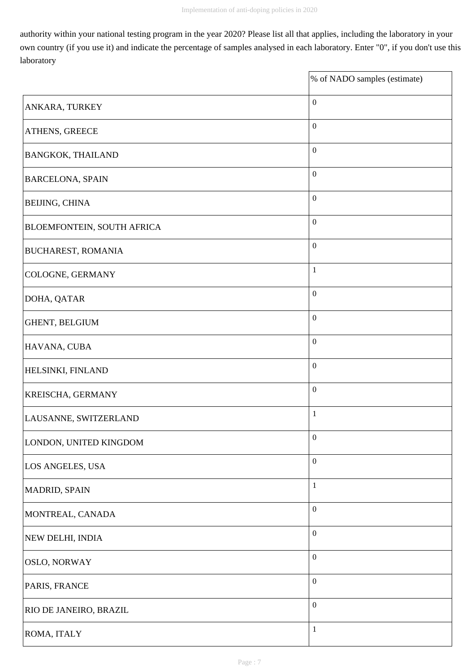$\overline{\mathbf{1}}$ 

authority within your national testing program in the year 2020? Please list all that applies, including the laboratory in your own country (if you use it) and indicate the percentage of samples analysed in each laboratory. Enter "0", if you don't use this laboratory

|                                   | % of NADO samples (estimate) |
|-----------------------------------|------------------------------|
| ANKARA, TURKEY                    | $\boldsymbol{0}$             |
| <b>ATHENS, GREECE</b>             | $\boldsymbol{0}$             |
| <b>BANGKOK, THAILAND</b>          | $\boldsymbol{0}$             |
| <b>BARCELONA, SPAIN</b>           | $\boldsymbol{0}$             |
| <b>BEIJING, CHINA</b>             | $\boldsymbol{0}$             |
| <b>BLOEMFONTEIN, SOUTH AFRICA</b> | $\boldsymbol{0}$             |
| <b>BUCHAREST, ROMANIA</b>         | $\boldsymbol{0}$             |
| COLOGNE, GERMANY                  | $\mathbf{1}$                 |
| DOHA, QATAR                       | $\boldsymbol{0}$             |
| GHENT, BELGIUM                    | $\boldsymbol{0}$             |
| HAVANA, CUBA                      | $\boldsymbol{0}$             |
| <b>HELSINKI, FINLAND</b>          | $\boldsymbol{0}$             |
| <b>KREISCHA, GERMANY</b>          | $\boldsymbol{0}$             |
| LAUSANNE, SWITZERLAND             | $\mathbf{1}$                 |
| LONDON, UNITED KINGDOM            | $\boldsymbol{0}$             |
| LOS ANGELES, USA                  | $\boldsymbol{0}$             |
| MADRID, SPAIN                     | $\mathbf{1}$                 |
| MONTREAL, CANADA                  | $\boldsymbol{0}$             |
| NEW DELHI, INDIA                  | $\boldsymbol{0}$             |
| <b>OSLO, NORWAY</b>               | $\boldsymbol{0}$             |
| PARIS, FRANCE                     | $\boldsymbol{0}$             |
| <b>RIO DE JANEIRO, BRAZIL</b>     | $\boldsymbol{0}$             |
| ROMA, ITALY                       | $\mathbf{1}$                 |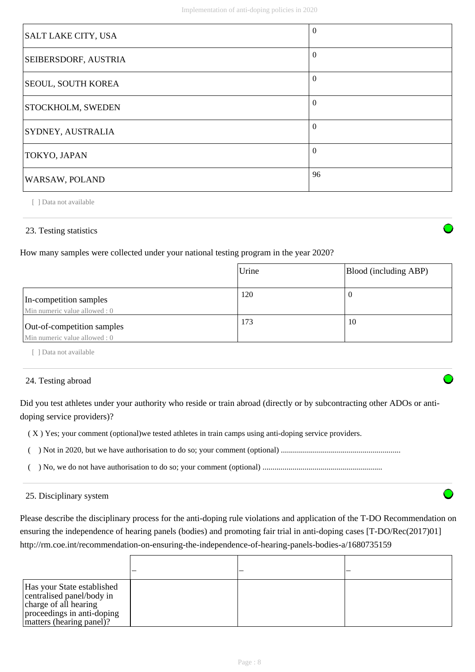| SALT LAKE CITY, USA       | $\Omega$ |
|---------------------------|----------|
| SEIBERSDORF, AUSTRIA      | $\Omega$ |
| <b>SEOUL, SOUTH KOREA</b> | $\Omega$ |
| <b>STOCKHOLM, SWEDEN</b>  | $\Omega$ |
| SYDNEY, AUSTRALIA         | $\theta$ |
| TOKYO, JAPAN              | $\Omega$ |
| WARSAW, POLAND            | 96       |

[ ] Data not available

# 23. Testing statistics

How many samples were collected under your national testing program in the year 2020?

|                                                             | Urine | Blood (including ABP) |
|-------------------------------------------------------------|-------|-----------------------|
| In-competition samples<br>Min numeric value allowed : 0     | 120   | U                     |
| Out-of-competition samples<br>Min numeric value allowed : 0 | 173   | 10                    |

[ ] Data not available

# 24. Testing abroad

Did you test athletes under your authority who reside or train abroad (directly or by subcontracting other ADOs or antidoping service providers)?

( X ) Yes; your comment (optional)we tested athletes in train camps using anti-doping service providers.

- ( ) Not in 2020, but we have authorisation to do so; your comment (optional) ............................................................
- ( ) No, we do not have authorisation to do so; your comment (optional) ............................................................

# 25. Disciplinary system

Please describe the disciplinary process for the anti-doping rule violations and application of the T-DO Recommendation on ensuring the independence of hearing panels (bodies) and promoting fair trial in anti-doping cases [T-DO/Rec(2017)01] http://rm.coe.int/recommendation-on-ensuring-the-independence-of-hearing-panels-bodies-a/1680735159

| Has your State established<br>centralised panel/body in<br>charge of all hearing<br>proceedings in anti-doping<br>matters (hearing panel)? |  |  |
|--------------------------------------------------------------------------------------------------------------------------------------------|--|--|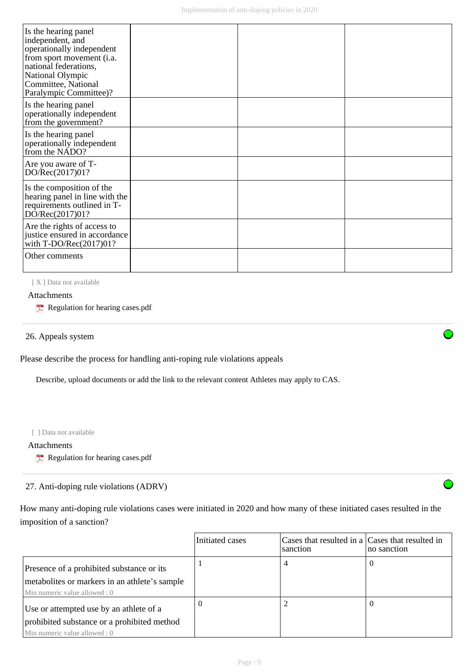| Is the hearing panel<br>independent, and<br>operationally independent<br>from sport movement (i.a.<br>national federations,<br>National Olympic<br>Committee, National<br>Paralympic Committee)? |  |  |
|--------------------------------------------------------------------------------------------------------------------------------------------------------------------------------------------------|--|--|
| Is the hearing panel<br>operationally independent<br>from the government?                                                                                                                        |  |  |
| Is the hearing panel<br>operationally independent<br>from the NADO?                                                                                                                              |  |  |
| Are you aware of T-<br>DO/Rec(2017)01?                                                                                                                                                           |  |  |
| Is the composition of the<br>hearing panel in line with the<br>requirements outlined in T-<br>DO/Rec(2017)01?                                                                                    |  |  |
| Are the rights of access to<br>justice ensured in accordance<br>with $T\text{-DO/Rec}(2017)01?$                                                                                                  |  |  |
| Other comments                                                                                                                                                                                   |  |  |

[X] Data not available

# Attachments

 $\blacktriangleright$  Regulation for hearing cases.pdf

26. Appeals system

Please describe the process for handling anti-roping rule violations appeals

Describe, upload documents or add the link to the relevant content Athletes may apply to CAS.

[ ] Data not available

Attachments

 $R$  Regulation for hearing cases.pdf

# 27. Anti-doping rule violations (ADRV)

How many anti-doping rule violations cases were initiated in 2020 and how many of these initiated cases resulted in the imposition of a sanction?

|                                                                                                                            | Initiated cases | Cases that resulted in a Cases that resulted in<br>sanction | no sanction |
|----------------------------------------------------------------------------------------------------------------------------|-----------------|-------------------------------------------------------------|-------------|
| Presence of a prohibited substance or its<br>metabolites or markers in an athlete's sample<br>Min numeric value allowed: 0 |                 | 4                                                           |             |
| Use or attempted use by an athlete of a<br>prohibited substance or a prohibited method<br>Min numeric value allowed: 0     | $\theta$        |                                                             |             |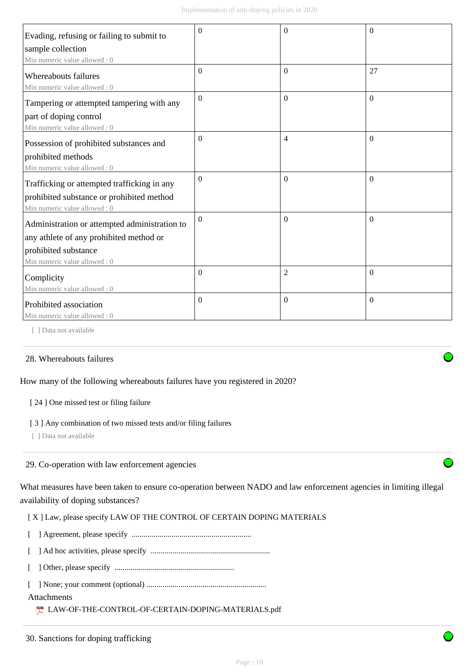| Evading, refusing or failing to submit to             | $\theta$     | $\Omega$       | $\theta$ |
|-------------------------------------------------------|--------------|----------------|----------|
| sample collection                                     |              |                |          |
| Min numeric value allowed: 0                          |              |                |          |
| Whereabouts failures<br>Min numeric value allowed : 0 | $\Omega$     | $\mathbf{0}$   | 27       |
| Tampering or attempted tampering with any             | $\Omega$     | $\Omega$       | $\Omega$ |
| part of doping control                                |              |                |          |
| Min numeric value allowed : 0                         |              |                |          |
| Possession of prohibited substances and               | $\Omega$     | $\overline{4}$ | $\Omega$ |
| prohibited methods                                    |              |                |          |
| Min numeric value allowed: 0                          |              |                |          |
| Trafficking or attempted trafficking in any           | $\Omega$     | $\Omega$       | $\Omega$ |
| prohibited substance or prohibited method             |              |                |          |
| Min numeric value allowed: 0                          |              |                |          |
| Administration or attempted administration to         | $\Omega$     | $\mathbf{0}$   | $\theta$ |
| any athlete of any prohibited method or               |              |                |          |
| prohibited substance                                  |              |                |          |
| Min numeric value allowed: 0                          |              |                |          |
| Complicity                                            | $\mathbf{0}$ | $\overline{2}$ | $\Omega$ |
| Min numeric value allowed: 0                          |              |                |          |
| Prohibited association                                | $\Omega$     | $\mathbf{0}$   | $\theta$ |
| Min numeric value allowed: 0                          |              |                |          |

[ ] Data not available

# 28. Whereabouts failures

# How many of the following whereabouts failures have you registered in 2020?

#### [ 24 ] One missed test or filing failure

#### [ 3 ] Any combination of two missed tests and/or filing failures

[ ] Data not available

# 29. Co-operation with law enforcement agencies

What measures have been taken to ensure co-operation between NADO and law enforcement agencies in limiting illegal availability of doping substances?

# [X] Law, please specify LAW OF THE CONTROL OF CERTAIN DOPING MATERIALS

- [ ] Agreement, please specify ............................................................
- [ ] Ad hoc activities, please specify ............................................................
- [ ] Other, please specify ............................................................
- [ ] None; your comment (optional) ............................................................

# Attachments

LAW-OF-THE-CONTROL-OF-CERTAIN-DOPING-MATERIALS.pdf

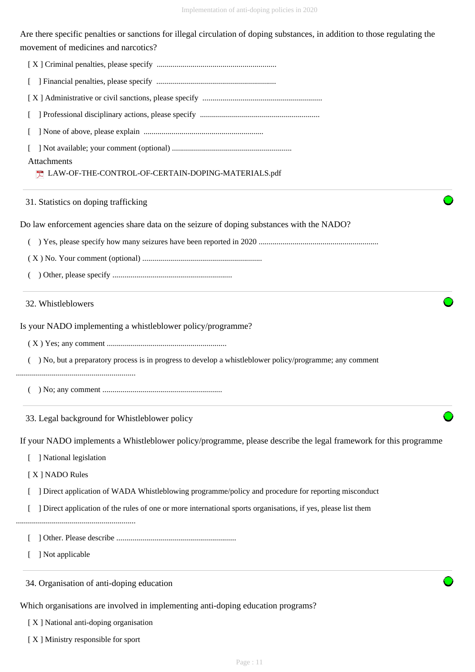| Implementation of anti-doping policies in 2020                                                                                                                      |
|---------------------------------------------------------------------------------------------------------------------------------------------------------------------|
| Are there specific penalties or sanctions for illegal circulation of doping substances, in addition to those regulating the<br>movement of medicines and narcotics? |
|                                                                                                                                                                     |
|                                                                                                                                                                     |
|                                                                                                                                                                     |
|                                                                                                                                                                     |
|                                                                                                                                                                     |
|                                                                                                                                                                     |
| Attachments<br>T LAW-OF-THE-CONTROL-OF-CERTAIN-DOPING-MATERIALS.pdf                                                                                                 |
| 31. Statistics on doping trafficking                                                                                                                                |
| Do law enforcement agencies share data on the seizure of doping substances with the NADO?                                                                           |
| $\left($                                                                                                                                                            |
|                                                                                                                                                                     |
|                                                                                                                                                                     |
| 32. Whistleblowers                                                                                                                                                  |
| Is your NADO implementing a whistleblower policy/programme?                                                                                                         |
|                                                                                                                                                                     |
| ) No, but a preparatory process is in progress to develop a whistleblower policy/programme; any comment                                                             |
|                                                                                                                                                                     |
| 33. Legal background for Whistleblower policy                                                                                                                       |
| If your NADO implements a Whistleblower policy/programme, please describe the legal framework for this programme                                                    |

[ ] National legislation

[ X ] NADO Rules

- [ ] Direct application of WADA Whistleblowing programme/policy and procedure for reporting misconduct
- [ ] Direct application of the rules of one or more international sports organisations, if yes, please list them

............................................................

- [ ] Other. Please describe ............................................................
- [ ] Not applicable

34. Organisation of anti-doping education

Which organisations are involved in implementing anti-doping education programs?

[ X ] National anti-doping organisation

[ X ] Ministry responsible for sport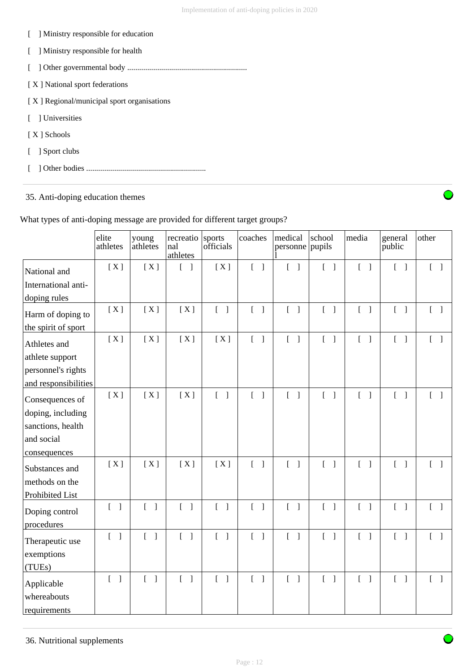| Ministry responsible for education         |
|--------------------------------------------|
| Ministry responsible for health            |
|                                            |
| [X] National sport federations             |
| [X] Regional/municipal sport organisations |
| 1 Universities                             |
| [X ] Schools                               |
| Sport clubs                                |
|                                            |

35. Anti-doping education themes

# What types of anti-doping message are provided for different target groups?

|                                           | elite<br>athletes                     | young<br>athletes                     | recreatio<br>nal<br>athletes      | sports<br>officials                        | coaches                               | medical<br>personne pupils        | school                                | media                             | general<br>public                     | other                             |
|-------------------------------------------|---------------------------------------|---------------------------------------|-----------------------------------|--------------------------------------------|---------------------------------------|-----------------------------------|---------------------------------------|-----------------------------------|---------------------------------------|-----------------------------------|
| National and                              | [X]                                   | [X]                                   | $[\ ]$                            | [X]                                        | $\begin{bmatrix} 1 \end{bmatrix}$     | $\begin{bmatrix} 1 \end{bmatrix}$ | $\begin{bmatrix} 1 \end{bmatrix}$     | $\begin{bmatrix} 1 \end{bmatrix}$ | $\begin{bmatrix} 1 \end{bmatrix}$     | $\begin{bmatrix} 1 \end{bmatrix}$ |
| International anti-                       |                                       |                                       |                                   |                                            |                                       |                                   |                                       |                                   |                                       |                                   |
| doping rules                              |                                       |                                       |                                   |                                            |                                       |                                   |                                       |                                   |                                       |                                   |
| Harm of doping to                         | [X]                                   | [X]                                   | [X]                               | $[\ ]$                                     | $[\ ]$                                | $\begin{bmatrix} 1 \end{bmatrix}$ | $[\ ]$                                | $\begin{bmatrix} 1 \end{bmatrix}$ | $\begin{bmatrix} 1 \end{bmatrix}$     | $\begin{bmatrix} 1 \end{bmatrix}$ |
| the spirit of sport                       |                                       |                                       |                                   |                                            |                                       |                                   |                                       |                                   |                                       |                                   |
| Athletes and                              | [X]                                   | [X]                                   | [X]                               | [X]                                        | $\begin{bmatrix} 1 \end{bmatrix}$     | $\begin{bmatrix} 1 \end{bmatrix}$ | $\begin{bmatrix} 1 \end{bmatrix}$     | $\begin{bmatrix} 1 \end{bmatrix}$ | $\begin{bmatrix} 1 \end{bmatrix}$     | $\begin{bmatrix} 1 \end{bmatrix}$ |
| athlete support                           |                                       |                                       |                                   |                                            |                                       |                                   |                                       |                                   |                                       |                                   |
| personnel's rights                        |                                       |                                       |                                   |                                            |                                       |                                   |                                       |                                   |                                       |                                   |
| and responsibilities                      |                                       |                                       |                                   |                                            |                                       |                                   |                                       |                                   |                                       |                                   |
| Consequences of                           | [X]                                   | [X]                                   | [X]                               | $\overline{\phantom{a}}$<br>$\overline{a}$ | $\begin{bmatrix} 1 \end{bmatrix}$     | $\begin{bmatrix} 1 \end{bmatrix}$ | $\begin{bmatrix} 1 \end{bmatrix}$     | $\begin{bmatrix} 1 \end{bmatrix}$ | $\begin{bmatrix} 1 \end{bmatrix}$     | $\begin{bmatrix} 1 \end{bmatrix}$ |
| doping, including                         |                                       |                                       |                                   |                                            |                                       |                                   |                                       |                                   |                                       |                                   |
| sanctions, health                         |                                       |                                       |                                   |                                            |                                       |                                   |                                       |                                   |                                       |                                   |
| and social                                |                                       |                                       |                                   |                                            |                                       |                                   |                                       |                                   |                                       |                                   |
| consequences                              |                                       |                                       |                                   |                                            |                                       |                                   |                                       |                                   |                                       |                                   |
| Substances and                            | [X]                                   | [X]                                   | [X]                               | [X]                                        | $\begin{bmatrix} 1 \end{bmatrix}$     | $\begin{bmatrix} 1 \end{bmatrix}$ | $[\ ]$                                | $\begin{bmatrix} 1 \end{bmatrix}$ | $\begin{bmatrix} 1 & 1 \end{bmatrix}$ | $\begin{bmatrix} 1 \end{bmatrix}$ |
| methods on the                            |                                       |                                       |                                   |                                            |                                       |                                   |                                       |                                   |                                       |                                   |
| Prohibited List                           |                                       |                                       |                                   |                                            |                                       |                                   |                                       |                                   |                                       |                                   |
| Doping control<br>procedures              | $\begin{bmatrix} 1 & 1 \end{bmatrix}$ | $\begin{bmatrix} 1 \end{bmatrix}$     | $\begin{bmatrix} 1 \end{bmatrix}$ | $\begin{bmatrix} 1 \end{bmatrix}$          | $\begin{bmatrix} 1 & 1 \end{bmatrix}$ | $\begin{bmatrix} 1 \end{bmatrix}$ | $\begin{bmatrix} 1 & 1 \end{bmatrix}$ | $\begin{bmatrix} 1 \end{bmatrix}$ | $\begin{bmatrix} 1 \end{bmatrix}$     | $\begin{bmatrix} 1 \end{bmatrix}$ |
| Therapeutic use                           | $\begin{bmatrix} 1 \end{bmatrix}$     | $\begin{bmatrix} 1 & 1 \end{bmatrix}$ | $\begin{bmatrix} 1 \end{bmatrix}$ | $\begin{bmatrix} 1 \end{bmatrix}$          | $\begin{bmatrix} 1 \end{bmatrix}$     | $\begin{bmatrix} 1 \end{bmatrix}$ | $\begin{bmatrix} 1 \end{bmatrix}$     | $\begin{bmatrix} 1 \end{bmatrix}$ | $\begin{bmatrix} 1 \end{bmatrix}$     | $[\ ]$                            |
| exemptions<br>(TUEs)                      |                                       |                                       |                                   |                                            |                                       |                                   |                                       |                                   |                                       |                                   |
| Applicable<br>whereabouts<br>requirements | $\begin{bmatrix} 1 \end{bmatrix}$     | $\begin{bmatrix} 1 \end{bmatrix}$     | $\begin{bmatrix} 1 \end{bmatrix}$ | $\begin{bmatrix} 1 \end{bmatrix}$          | $\begin{bmatrix} 1 \end{bmatrix}$     | $\begin{bmatrix} 1 \end{bmatrix}$ | $\begin{bmatrix} 1 \end{bmatrix}$     | $\begin{bmatrix} 1 \end{bmatrix}$ | $\begin{bmatrix} 1 \end{bmatrix}$     | $\begin{bmatrix} 1 \end{bmatrix}$ |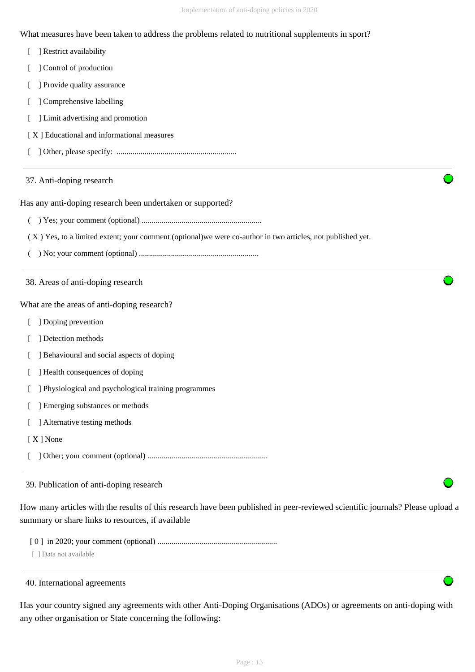What measures have been taken to address the problems related to nutritional supplements in sport?

|  | Restrict availability |  |
|--|-----------------------|--|
|--|-----------------------|--|

- [ ] Control of production
- [ ] Provide quality assurance
- [ ] Comprehensive labelling
- [ ] Limit advertising and promotion
- [ X ] Educational and informational measures
- [ ] Other, please specify: ............................................................
- 37. Anti-doping research

Has any anti-doping research been undertaken or supported?

- ( ) Yes; your comment (optional) ............................................................
- ( X ) Yes, to a limited extent; your comment (optional)we were co-author in two articles, not published yet.
- ( ) No; your comment (optional) ............................................................

38. Areas of anti-doping research

What are the areas of anti-doping research?

- [ ] Doping prevention
- [ ] Detection methods
- [ ] Behavioural and social aspects of doping
- [ ] Health consequences of doping
- [ ] Physiological and psychological training programmes
- [ ] Emerging substances or methods
- [ ] Alternative testing methods
- [ X ] None
- [ ] Other; your comment (optional) ............................................................

39. Publication of anti-doping research

How many articles with the results of this research have been published in peer-reviewed scientific journals? Please upload a summary or share links to resources, if available

[ 0 ] in 2020; your comment (optional) ............................................................

[ ] Data not available

40. International agreements

Has your country signed any agreements with other Anti-Doping Organisations (ADOs) or agreements on anti-doping with any other organisation or State concerning the following: